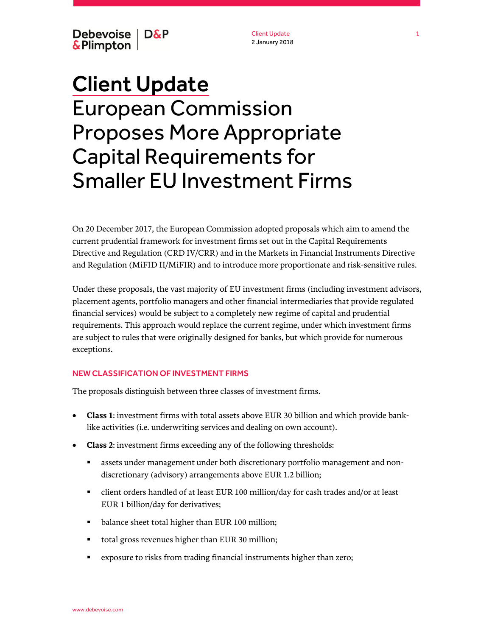Debevoise | D&P & Plimpton

Client Update 2 January 2018

# Client Update European Commission Proposes More Appropriate Capital Requirements for Smaller EU Investment Firms

On 20 December 2017, the European Commission adopted proposals which aim to amend the current prudential framework for investment firms set out in the Capital Requirements Directive and Regulation (CRD IV/CRR) and in the Markets in Financial Instruments Directive and Regulation (MiFID II/MiFIR) and to introduce more proportionate and risk-sensitive rules.

Under these proposals, the vast majority of EU investment firms (including investment advisors, placement agents, portfolio managers and other financial intermediaries that provide regulated financial services) would be subject to a completely new regime of capital and prudential requirements. This approach would replace the current regime, under which investment firms are subject to rules that were originally designed for banks, but which provide for numerous exceptions.

#### NEW CLASSIFICATION OF INVESTMENT FIRMS

The proposals distinguish between three classes of investment firms.

- **Class 1**: investment firms with total assets above EUR 30 billion and which provide banklike activities (i.e. underwriting services and dealing on own account).
- **Class 2**: investment firms exceeding any of the following thresholds:
	- assets under management under both discretionary portfolio management and nondiscretionary (advisory) arrangements above EUR 1.2 billion;
	- client orders handled of at least EUR 100 million/day for cash trades and/or at least EUR 1 billion/day for derivatives;
	- **balance sheet total higher than EUR 100 million;**
	- total gross revenues higher than EUR 30 million;
	- exposure to risks from trading financial instruments higher than zero;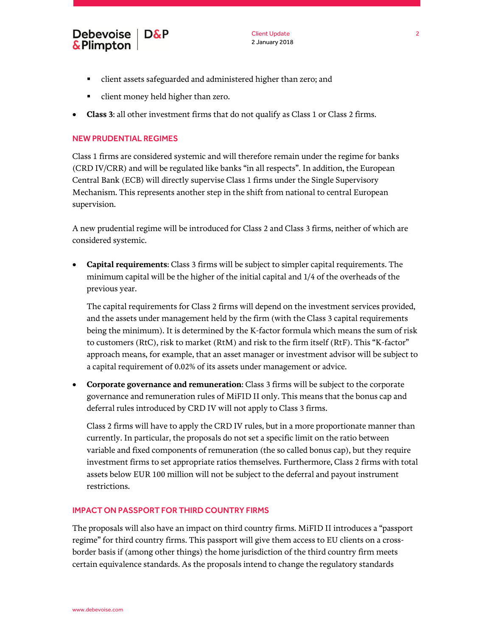

- client assets safeguarded and administered higher than zero; and
- client money held higher than zero.
- **Class 3**: all other investment firms that do not qualify as Class 1 or Class 2 firms.

## NEW PRUDENTIAL REGIMES

Class 1 firms are considered systemic and will therefore remain under the regime for banks (CRD IV/CRR) and will be regulated like banks "in all respects". In addition, the European Central Bank (ECB) will directly supervise Class 1 firms under the Single Supervisory Mechanism. This represents another step in the shift from national to central European supervision.

A new prudential regime will be introduced for Class 2 and Class 3 firms, neither of which are considered systemic.

 **Capital requirements**: Class 3 firms will be subject to simpler capital requirements. The minimum capital will be the higher of the initial capital and 1/4 of the overheads of the previous year.

The capital requirements for Class 2 firms will depend on the investment services provided, and the assets under management held by the firm (with the Class 3 capital requirements being the minimum). It is determined by the K-factor formula which means the sum of risk to customers (RtC), risk to market (RtM) and risk to the firm itself (RtF). This "K-factor" approach means, for example, that an asset manager or investment advisor will be subject to a capital requirement of 0.02% of its assets under management or advice.

 **Corporate governance and remuneration**: Class 3 firms will be subject to the corporate governance and remuneration rules of MiFID II only. This means that the bonus cap and deferral rules introduced by CRD IV will not apply to Class 3 firms.

Class 2 firms will have to apply the CRD IV rules, but in a more proportionate manner than currently. In particular, the proposals do not set a specific limit on the ratio between variable and fixed components of remuneration (the so called bonus cap), but they require investment firms to set appropriate ratios themselves. Furthermore, Class 2 firms with total assets below EUR 100 million will not be subject to the deferral and payout instrument restrictions.

# IMPACT ON PASSPORT FOR THIRD COUNTRY FIRMS

The proposals will also have an impact on third country firms. MiFID II introduces a "passport regime" for third country firms. This passport will give them access to EU clients on a crossborder basis if (among other things) the home jurisdiction of the third country firm meets certain equivalence standards. As the proposals intend to change the regulatory standards